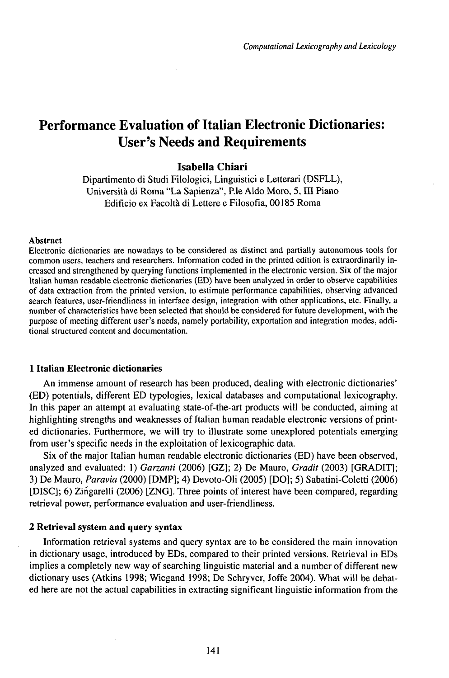# Performance Evaluation of Italian Electronic Dictionaries: User's Needs and Requirements

# **Isabella Chiari**

Dipartimento di Studi Filologici, Linguistici e Letterari (DSFLL), Università di Roma "La Sapienza", P.le Aldo Moro, 5, III Piano Edificio ex Facoltà di Lettere e Filosofia, 00185 Roma

### Abstract

Electronic dictionaries are nowadays to be considered as distinct and partially autonomous tools for common users, teachers and researchers. Information coded in the printed edition is extraordinarily increased and strengthened by querying functions implemented in the electronic version. Six of the major Italian human readable electronic dictionaries (ED) have been analyzed in order to observe capabilities of data extraction from the printed version, to estimate performance capabilities, observing advanced search features, user-friendliness in interface design, integration with other applications, etc. Finally, a number of characteristics have been selected that should be considered for future development, with the purpose of meeting different user's needs, namely portability, exportation and integration modes, additional structured content and documentation.

## **1 Italian Electronic dictionaries**

An immense amount of research has been produced, dealing with electronic dictionaries' (ED) potentials, different ED typologies, lexical databases and computational lexicography. In this paper an attempt at evaluating state-of-the-art products will be conducted, aiming at highlighting strengths and weaknesses of Italian human readable electronic versions of printed dictionaries. Furthermore, we will try to illustrate some unexplored potentials emerging from user's specific needs in the exploitation of lexicographic data.

Six of the major Italian human readable electronic dictionaries (ED) have been observed, analyzed and evaluated: 1) *Garzanti* (2006) [GZ]; 2) De Mauro, *Gradit* (2003) [GRADIT]; 3) De Mauro, *Paravia* (2000) [DMP]; 4) Devoto-Oli (2005) [DO]; 5) Sabatini-Coletti (2006) [DISC]; 6) Zińgarelli (2006) [ZNG]. Three points ofinterest have been compared, regarding retrieval power, performance evaluation and user-friendliness.

### **2 Retrieval** system **and** query **syntax**

Information retrieval systems and query syntax are to be considered the main innovation in dictionary usage, introduced by EDs, compared to their printed versions. Retrieval in EDs implies a completely new way of searching linguistic material and a number of different new dictionary uses (Atkins 1998; Wiegand 1998; De Schryver, Joffe 2004). What will be debated here are not the actual capabilities in extracting significant linguistic information from the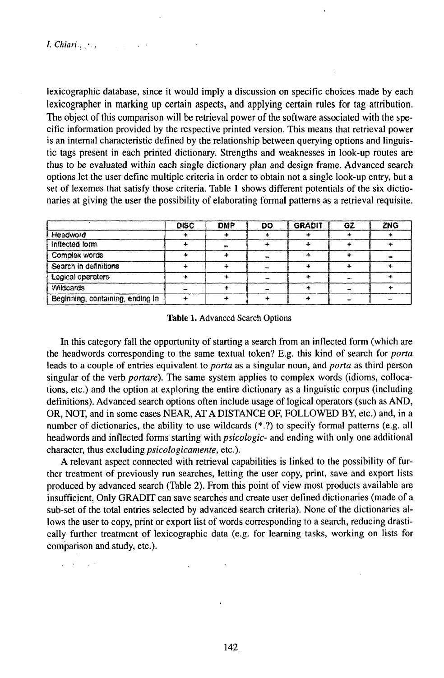$\omega$  ,  $\omega$  ,  $\omega$  ,  $\omega$ 

lexicographic database, since it would imply a discussion on specific choices made by each lexicographer in marking up certain aspects, and applying certain rules for tag attribution. The object of this comparison will be retrieval power of the software associated with the specific information provided by the respective printed version. This means that retrieval power is an internal characteristic defined by the relationship between querying options and linguistic tags present in each printed dictionary. Strengths and weaknesses in look-up routes are thus to be evaluated within each single dictionary plan and design frame. Advanced search options let the user define multiple criteria in order to obtain not a single look-up entry, but a set of lexemes that satisfy those criteria. Table 1 shows different potentials of the six dictionaries at giving the user the possibility of elaborating formal patterns as a retrieval requisite.

|                                  | <b>DISC</b> | ONP  | DO | <b>GRADIT</b> | GZ | ZNG  |
|----------------------------------|-------------|------|----|---------------|----|------|
| Headword                         |             |      |    |               |    |      |
| Inflected form                   |             | 2009 |    |               |    |      |
| Complex words                    |             |      |    |               |    | 1600 |
| Search in definitions            |             |      |    |               |    |      |
| Logical operators                |             |      |    |               |    |      |
| <b>Wildcards</b>                 | 400         |      |    |               |    |      |
| Beginning, containing, ending in |             |      |    |               |    |      |

#### Table 1. Advanced Search Options

In this category fall the opportunity of starting a search from an inflected form (which are the headwords corresponding to the same textual token? E.g. this kind of search for *porta* leads to a couple of entries equivalent to *porta* as a singular noun, and *porta* as third person singular of the verb *portare*). The same system applies to complex words (idioms, collocations, etc.) and the option at exploring the entire dictionary as a linguistic corpus (including definitions). Advanced search options often include usage of logical operators (such as AND, OR, NOT, and in some cases NEAR, AT A DISTANCE OF, FOLLOWED BY, etc.) and, in a number of dictionaries, the ability to use wildcards (\*.?) to specify formal patterns (e.g. all headwords and inflected forms starting with *psicologic*- and ending with only one additional character, thus excluding *psicologicamente*, etc.).

A relevant aspect connected with retrieval capabilities is linked to the possibility of further treatment of previously run searches, letting the user copy, print, save and export lists produced by advanced search (Table 2). From this point of view most products available are insufficient. Only GRADIT can save searches and create user defined dictionaries (made of a sub-set of the total entries selected by advanced search criteria). None of the dictionaries allows the user to copy, print or export list of words corresponding to a search, reducing drastically further treatment of lexicographic data (e.g. for learning tasks, working on lists for comparison and study, etc.).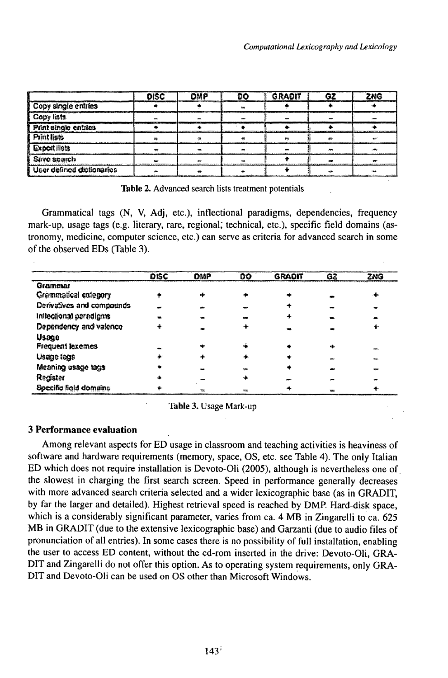|                           | <b>DISC</b> | DNP | no | <b>GRADIT</b> | G) | 2 N.G |
|---------------------------|-------------|-----|----|---------------|----|-------|
| Copy single entries       |             |     |    |               |    |       |
| Copy lists                |             |     |    |               |    |       |
| Piint single entries      |             |     |    |               |    |       |
| <b>Print lists</b>        |             |     |    |               |    |       |
| <b>Export lists</b>       |             |     |    |               |    |       |
| Save search               |             |     |    |               |    |       |
| User defined dictionaries |             |     |    |               |    |       |

Table 2. Advanced search lists treatment potentials

Grammatical tags (N, V, Adj, etc.), inflectional paradigms, dependencies, frequency mark-up, usage tags (e.g. literary, rare, regional, technical, etc.), specific field domains (astronomy, medicine, computer science, etc.) can serve as criteria for advanced search in some of the observed EDs (Table 3).

|                           | DISC | omp  | DO   | <b>GRADIT</b> | GΖ  | ZNG |
|---------------------------|------|------|------|---------------|-----|-----|
| Grammar                   |      |      |      |               |     |     |
| Grammatical category      |      | x\$: |      | : په          |     | ۰   |
| Derivatives and compounds |      |      |      |               |     |     |
| Inflectional paradigms    |      |      |      |               |     |     |
| Dependency and valence    |      |      |      |               |     |     |
| <b>Usage</b>              |      |      |      |               |     |     |
| Frequent lexemes          |      | who  |      |               |     |     |
| Usage lags                |      |      |      |               |     |     |
| Meaning usage tags        |      | SSS: | 1007 |               | 60% |     |
| Register                  |      |      |      |               |     |     |
| Specific field domains    |      |      |      |               | 88. |     |

Table 3. Usage Mark-up

# **3 Performance evaluation**

Among relevant aspects for ED usage in classroom and teaching activities is heaviness of software and hardware requirements (memory, space, OS, etc. see Table 4). The only Italian ED which does not require installation is Devoto-Oli (2005), although is nevertheless one of the slowest in charging the first search screen. Speed in performance generally decreases with more advanced search criteria selected and a wider lexicographic base (as in GRADIT, by far the larger and detailed). Highest retrieval speed is reached by DMP. Hard-disk space, which is a considerably significant parameter, varies from ca. 4 MB in Zingarelli to ca. 625 MB in GRADIT (due to the extensive lexicographic base) and Garzanti (due to audio files of pronunciation of all entries). In some cases there is no possibility of full installation, enabling the user to access ED content, without the cd-rom inserted in the drive: Devoto-Oli, GRA-DIT and Zingarelli do not offer this option. As to operating system requirements, only GRA-DIT and Devoto-Oli can be used on OS other than Microsoft Windows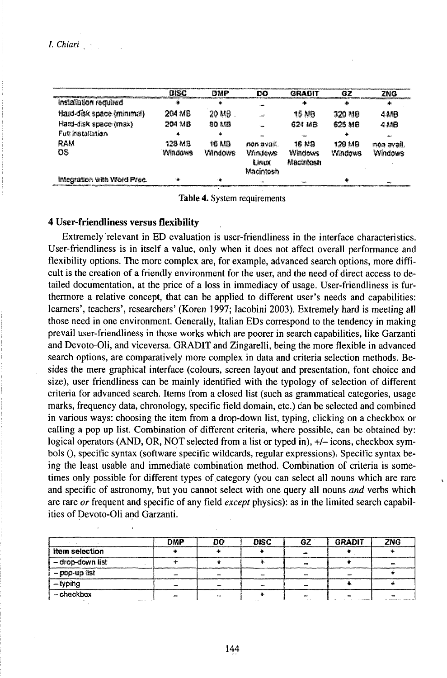|                             | DISC    | DMP            | DO          | GRADIT         | 67                    | ZNG        |
|-----------------------------|---------|----------------|-------------|----------------|-----------------------|------------|
| Installation required       |         | ÷.             |             |                |                       |            |
| Hard-disk space (minimal)   | 204 MB  | 20 MB          |             | 15 MB          | 320 MB                | 4 MB       |
| Hard-disk space (max)       | 204 MB  | 90 MB          | <b>Sold</b> | 624146         | 625 MB                | 4 MB       |
| Full installation           |         |                |             |                |                       |            |
| ram                         | 128 MB  | 16 MB          | non avag.   | 16 N.S         | 120 MB                | rma avail. |
| OS.                         | Windows | <b>Windows</b> | Windows     | <b>Windows</b> | <b><i>Mindows</i></b> | Windows    |
|                             |         |                | Linux       | Macintosh      |                       |            |
|                             |         |                | Macintosh   |                |                       |            |
| Integration with Word Proc. |         |                |             |                |                       |            |

Table 4. System requirements

### **4 User-friendliness versus flexibility**

Extremely relevant in ED evaluation is user-friendliness in the interface characteristics. User-friendliness is in itself a value, only when it does not affect overall performance and flexibility options. The more complex are, for example, advanced search options, more difficult is the creation of a friendly environment for the user, and the need of direct access to detailed documentation, at the price of a loss in immediacy of usage. User-friendliness is furthermore a relative concept, that can be applied to different user's needs and capabilities: learners', teachers', researchers' (Koren 1997; Iacobini 2003). Extremely hard is meeting all those need in one environment. Generally, Italian EDs correspond to the tendency in making prevail user-friendliness in those works which are poorer in search capabilities, like Garzanti and Devoto-Oli, and viceversa. GRADIT and Zingarelli, being the more flexible in advanced search options, are comparatively more complex in data and criteria selection methods. Besides the mere graphical interface (colours, screen layout and presentation, font choice and size), user friendliness can be mainly identified with the typology of selection of different criteria for advanced search. Items from a closed list (such as grammatical categories, usage marks, frequency data, chronology, specific field domain, etc.) can be selected and combined in various ways: choosing the item from a drop-down list, typing, clicking on a checkbox or calling a pop up list. Combination of different criteria, where possible, can be obtained by: logical operators (AND, OR, NOT selected from a list or typed in), +/- icons, checkbox symbols (), specific syntax (software specific wildcards, regular expressions). Specific syntax being the least usable and immediate combination method. Combination of criteria is sometimes only possible for different types of category (you can select all nouns which are rare and specific of astronomy, but you cannot select with one query all nouns and verbs which are rare or frequent and specific of any field except physics): as in the limited search capabilities of Devoto-Oli and Garzanti.

|                       | DMP  | no    | <b>DISC</b> | 67   | <b>GRADIT</b> | 7NG |
|-----------------------|------|-------|-------------|------|---------------|-----|
| <b>item selection</b> |      |       |             |      |               |     |
| - drop-down list      |      |       |             | 40M  |               |     |
| - pop-up list         |      |       |             |      |               |     |
| $-$ typing            |      |       |             |      |               |     |
| - checkbox            | 3000 | etat: |             | Web- | 444           | m   |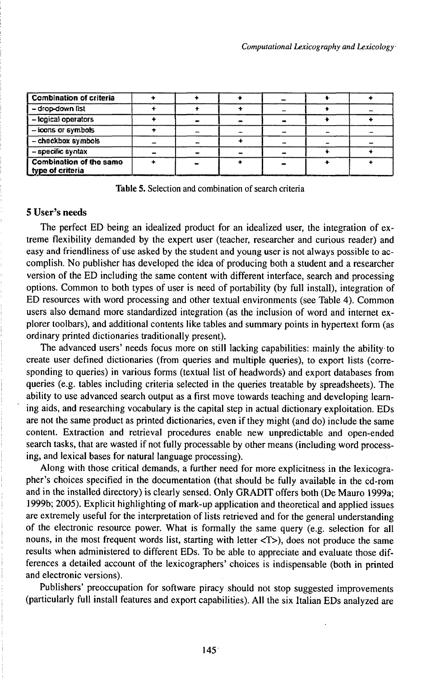| <b>Combination of criteria</b>              |     |               |  |
|---------------------------------------------|-----|---------------|--|
| - drop-down list                            |     |               |  |
| - lopical operators                         |     |               |  |
| - icons or symbols                          |     |               |  |
| - checkbox symbols                          |     |               |  |
| - specific syntax                           | $-$ | $\frac{1}{2}$ |  |
| Combination of the same<br>type of criteria |     | <b>ANK</b>    |  |

**Table 5.** Selection and combination of search criteria

### **5 User's needs**

The perfect ED being an idealized product for an idealized user, the integration of extreme flexibility demanded by the expert user (teacher, researcher and curious reader) and easy and friendliness of use asked by the student and young user is not always possible to accomplish. No publisher has developed the idea of producing both a student and a researcher version of the ED including the same content with different interface, search and processing options. Common to both types of user is need of portability (by full install), integration of ED resources with word processing and other textual environments (see Table 4). Common users also demand more standardized integration (as the inclusion of word and internet explorer toolbars), and additional contents like tables and summary points in hypertext form (as ordinary printed dictionaries traditionally present).

The advanced users' needs focus more on still lacking capabilities: mainly the ability to create user defined dictionaries (from queries and multiple queries), to export lists (corresponding to queries) in various forms (textual list of headwords) and export databases from queries (e.g. tables including criteria selected in the queries treatable by spreadsheets). The ability to use advanced search output as a first move towards teaching and developing learning aids, and researching vocabulary is the capital step in actual dictionary exploitation. EDs are not the same product as printed dictionaries, even if they might (and do) include the same content. Extraction and retrieval procedures enable new unpredictable and open-ended search tasks, that are wasted if not fully processable by other means (including word processing, and lexical bases for natural language processing).

Along with those critical demands, a further need for more explicitness in the lexicographer's choices specified in the documentation (that should be fully available in the cd-rom and in the installed directory) is clearly sensed. Only GRADIT offers both (De Mauro 1999a; 1999b; 2005). Explicit highlighting of mark-up application and theoretical and applied issues are extremely useful for the interpretation of lists retrieved and for the general understanding of the electronic resource power. What is formally the same query (e.g. selection for all nouns, in the most frequent words list, starting with letter  $\langle T \rangle$ , does not produce the same results when administered to different EDs. To be able to appreciate and evaluate those differences a detailed account of the lexicographers' choices is indispensable (both in printed and electronic versions).

Publishers' preoccupation for software piracy should not stop suggested improvements (particularly full install features and export capabilities). All the six Italian EDs analyzed are